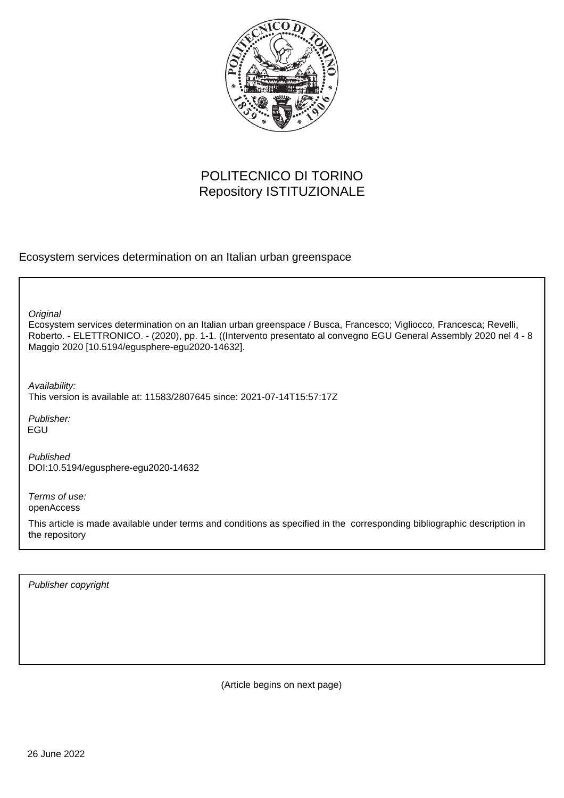

## POLITECNICO DI TORINO Repository ISTITUZIONALE

Ecosystem services determination on an Italian urban greenspace

**Original** 

Ecosystem services determination on an Italian urban greenspace / Busca, Francesco; Vigliocco, Francesca; Revelli, Roberto. - ELETTRONICO. - (2020), pp. 1-1. ((Intervento presentato al convegno EGU General Assembly 2020 nel 4 - 8 Maggio 2020 [10.5194/egusphere-egu2020-14632].

Availability:

This version is available at: 11583/2807645 since: 2021-07-14T15:57:17Z

Publisher: EGU

Published DOI:10.5194/egusphere-egu2020-14632

Terms of use: openAccess

This article is made available under terms and conditions as specified in the corresponding bibliographic description in the repository

Publisher copyright

(Article begins on next page)